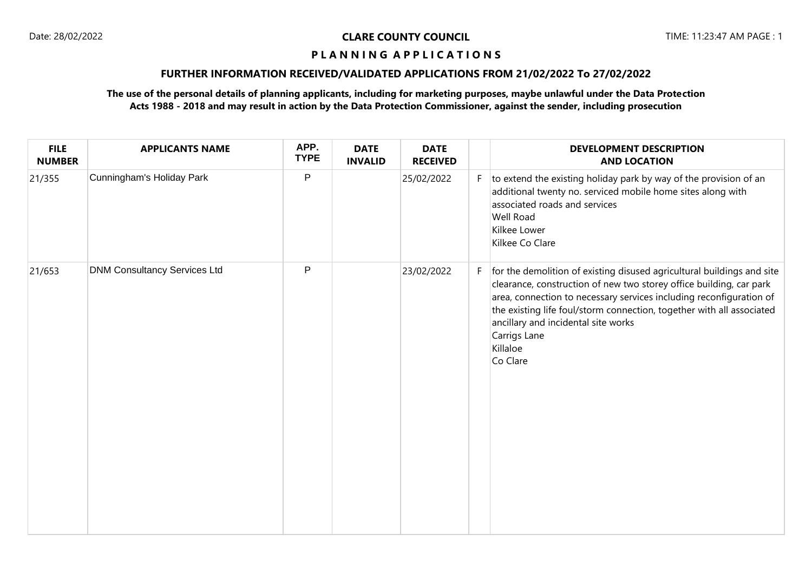# **FURTHER INFORMATION RECEIVED/VALIDATED APPLICATIONS FROM 21/02/2022 To 27/02/2022**

| <b>FILE</b><br><b>NUMBER</b> | <b>APPLICANTS NAME</b>              | APP.<br><b>TYPE</b> | <b>DATE</b><br><b>INVALID</b> | <b>DATE</b><br><b>RECEIVED</b> |    | <b>DEVELOPMENT DESCRIPTION</b><br><b>AND LOCATION</b>                                                                                                                                                                                                                                                                                                                        |
|------------------------------|-------------------------------------|---------------------|-------------------------------|--------------------------------|----|------------------------------------------------------------------------------------------------------------------------------------------------------------------------------------------------------------------------------------------------------------------------------------------------------------------------------------------------------------------------------|
| 21/355                       | Cunningham's Holiday Park           | P                   |                               | 25/02/2022                     | F. | to extend the existing holiday park by way of the provision of an<br>additional twenty no. serviced mobile home sites along with<br>associated roads and services<br>Well Road<br>Kilkee Lower<br>Kilkee Co Clare                                                                                                                                                            |
| 21/653                       | <b>DNM Consultancy Services Ltd</b> | P                   |                               | 23/02/2022                     | F. | for the demolition of existing disused agricultural buildings and site<br>clearance, construction of new two storey office building, car park<br>area, connection to necessary services including reconfiguration of<br>the existing life foul/storm connection, together with all associated<br>ancillary and incidental site works<br>Carrigs Lane<br>Killaloe<br>Co Clare |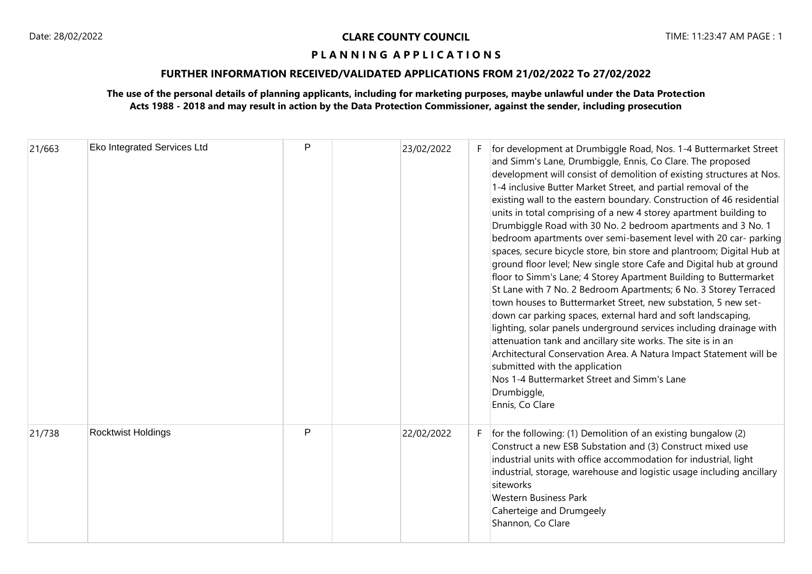# **FURTHER INFORMATION RECEIVED/VALIDATED APPLICATIONS FROM 21/02/2022 To 27/02/2022**

| 21/663 | Eko Integrated Services Ltd | P | 23/02/2022 | F | for development at Drumbiggle Road, Nos. 1-4 Buttermarket Street<br>and Simm's Lane, Drumbiggle, Ennis, Co Clare. The proposed<br>development will consist of demolition of existing structures at Nos.<br>1-4 inclusive Butter Market Street, and partial removal of the<br>existing wall to the eastern boundary. Construction of 46 residential<br>units in total comprising of a new 4 storey apartment building to<br>Drumbiggle Road with 30 No. 2 bedroom apartments and 3 No. 1<br>bedroom apartments over semi-basement level with 20 car- parking<br>spaces, secure bicycle store, bin store and plantroom; Digital Hub at<br>ground floor level; New single store Cafe and Digital hub at ground<br>floor to Simm's Lane; 4 Storey Apartment Building to Buttermarket<br>St Lane with 7 No. 2 Bedroom Apartments; 6 No. 3 Storey Terraced<br>town houses to Buttermarket Street, new substation, 5 new set-<br>down car parking spaces, external hard and soft landscaping,<br>lighting, solar panels underground services including drainage with<br>attenuation tank and ancillary site works. The site is in an<br>Architectural Conservation Area. A Natura Impact Statement will be<br>submitted with the application<br>Nos 1-4 Buttermarket Street and Simm's Lane<br>Drumbiggle,<br>Ennis, Co Clare |
|--------|-----------------------------|---|------------|---|------------------------------------------------------------------------------------------------------------------------------------------------------------------------------------------------------------------------------------------------------------------------------------------------------------------------------------------------------------------------------------------------------------------------------------------------------------------------------------------------------------------------------------------------------------------------------------------------------------------------------------------------------------------------------------------------------------------------------------------------------------------------------------------------------------------------------------------------------------------------------------------------------------------------------------------------------------------------------------------------------------------------------------------------------------------------------------------------------------------------------------------------------------------------------------------------------------------------------------------------------------------------------------------------------------------------|
| 21/738 | <b>Rocktwist Holdings</b>   | P | 22/02/2022 |   | for the following: (1) Demolition of an existing bungalow (2)<br>Construct a new ESB Substation and (3) Construct mixed use<br>industrial units with office accommodation for industrial, light<br>industrial, storage, warehouse and logistic usage including ancillary<br>siteworks<br><b>Western Business Park</b><br>Caherteige and Drumgeely<br>Shannon, Co Clare                                                                                                                                                                                                                                                                                                                                                                                                                                                                                                                                                                                                                                                                                                                                                                                                                                                                                                                                                 |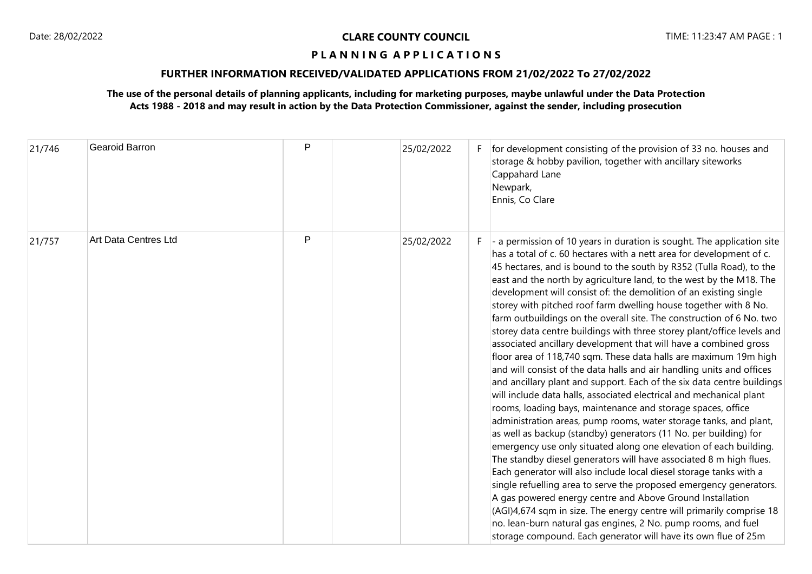### **FURTHER INFORMATION RECEIVED/VALIDATED APPLICATIONS FROM 21/02/2022 To 27/02/2022**

| 21/746 | Gearoid Barron       | P | 25/02/2022 |    | for development consisting of the provision of 33 no. houses and<br>storage & hobby pavilion, together with ancillary siteworks<br>Cappahard Lane<br>Newpark,<br>Ennis, Co Clare                                                                                                                                                                                                                                                                                                                                                                                                                                                                                                                                                                                                                                                                                                                                                                                                                                                                                                                                                                                                                                                                                                                                                                                                                                                                                                                                                                                                                                                                                                                                                         |
|--------|----------------------|---|------------|----|------------------------------------------------------------------------------------------------------------------------------------------------------------------------------------------------------------------------------------------------------------------------------------------------------------------------------------------------------------------------------------------------------------------------------------------------------------------------------------------------------------------------------------------------------------------------------------------------------------------------------------------------------------------------------------------------------------------------------------------------------------------------------------------------------------------------------------------------------------------------------------------------------------------------------------------------------------------------------------------------------------------------------------------------------------------------------------------------------------------------------------------------------------------------------------------------------------------------------------------------------------------------------------------------------------------------------------------------------------------------------------------------------------------------------------------------------------------------------------------------------------------------------------------------------------------------------------------------------------------------------------------------------------------------------------------------------------------------------------------|
| 21/757 | Art Data Centres Ltd | P | 25/02/2022 | F. | $\vert$ - a permission of 10 years in duration is sought. The application site<br>has a total of c. 60 hectares with a nett area for development of c.<br>45 hectares, and is bound to the south by R352 (Tulla Road), to the<br>east and the north by agriculture land, to the west by the M18. The<br>development will consist of: the demolition of an existing single<br>storey with pitched roof farm dwelling house together with 8 No.<br>farm outbuildings on the overall site. The construction of 6 No. two<br>storey data centre buildings with three storey plant/office levels and<br>associated ancillary development that will have a combined gross<br>floor area of 118,740 sqm. These data halls are maximum 19m high<br>and will consist of the data halls and air handling units and offices<br>and ancillary plant and support. Each of the six data centre buildings<br>will include data halls, associated electrical and mechanical plant<br>rooms, loading bays, maintenance and storage spaces, office<br>administration areas, pump rooms, water storage tanks, and plant,<br>as well as backup (standby) generators (11 No. per building) for<br>emergency use only situated along one elevation of each building.<br>The standby diesel generators will have associated 8 m high flues.<br>Each generator will also include local diesel storage tanks with a<br>single refuelling area to serve the proposed emergency generators.<br>A gas powered energy centre and Above Ground Installation<br>(AGI)4,674 sqm in size. The energy centre will primarily comprise 18<br>no. lean-burn natural gas engines, 2 No. pump rooms, and fuel<br>storage compound. Each generator will have its own flue of 25m |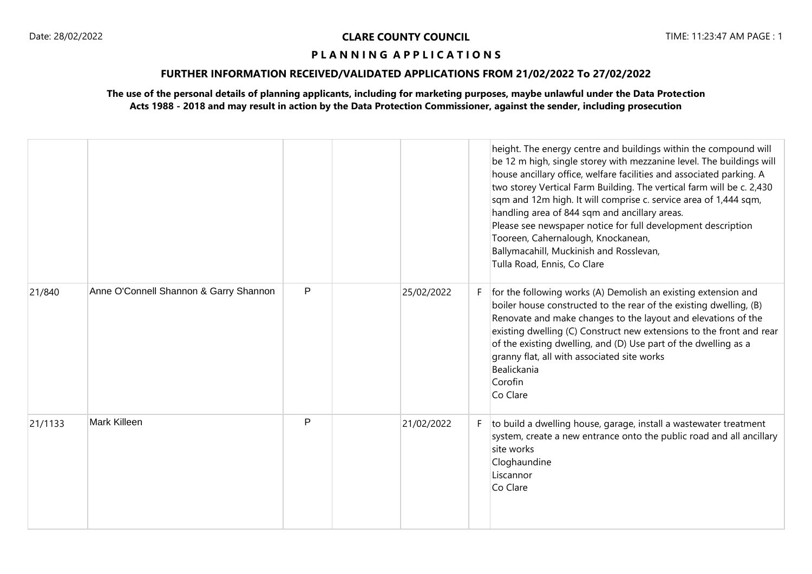# **FURTHER INFORMATION RECEIVED/VALIDATED APPLICATIONS FROM 21/02/2022 To 27/02/2022**

|         |                                        |   |            |   | height. The energy centre and buildings within the compound will<br>be 12 m high, single storey with mezzanine level. The buildings will<br>house ancillary office, welfare facilities and associated parking. A<br>two storey Vertical Farm Building. The vertical farm will be c. 2,430<br>sqm and 12m high. It will comprise c. service area of 1,444 sqm,<br>handling area of 844 sqm and ancillary areas.<br>Please see newspaper notice for full development description<br>Tooreen, Cahernalough, Knockanean,<br>Ballymacahill, Muckinish and Rosslevan,<br>Tulla Road, Ennis, Co Clare |
|---------|----------------------------------------|---|------------|---|------------------------------------------------------------------------------------------------------------------------------------------------------------------------------------------------------------------------------------------------------------------------------------------------------------------------------------------------------------------------------------------------------------------------------------------------------------------------------------------------------------------------------------------------------------------------------------------------|
| 21/840  | Anne O'Connell Shannon & Garry Shannon | P | 25/02/2022 |   | for the following works (A) Demolish an existing extension and<br>boiler house constructed to the rear of the existing dwelling, (B)<br>Renovate and make changes to the layout and elevations of the<br>existing dwelling (C) Construct new extensions to the front and rear<br>of the existing dwelling, and (D) Use part of the dwelling as a<br>granny flat, all with associated site works<br>Bealickania<br>Corofin<br>Co Clare                                                                                                                                                          |
| 21/1133 | Mark Killeen                           | P | 21/02/2022 | F | to build a dwelling house, garage, install a wastewater treatment<br>system, create a new entrance onto the public road and all ancillary<br>site works<br>Cloghaundine<br>Liscannor<br>Co Clare                                                                                                                                                                                                                                                                                                                                                                                               |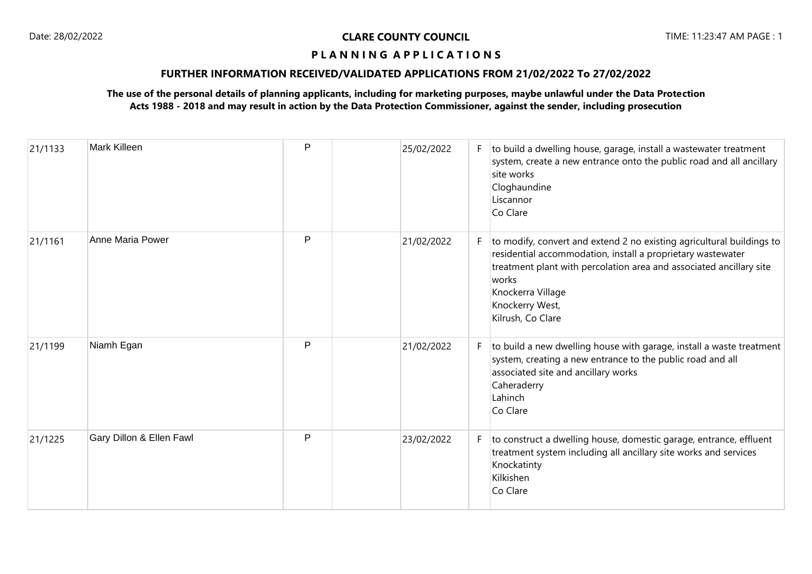# **FURTHER INFORMATION RECEIVED/VALIDATED APPLICATIONS FROM 21/02/2022 To 27/02/2022**

| 21/1133 | Mark Killeen             | P | 25/02/2022 | F. | to build a dwelling house, garage, install a wastewater treatment<br>system, create a new entrance onto the public road and all ancillary<br>site works<br>Cloghaundine<br>Liscannor<br>Co Clare                                                                                  |
|---------|--------------------------|---|------------|----|-----------------------------------------------------------------------------------------------------------------------------------------------------------------------------------------------------------------------------------------------------------------------------------|
| 21/1161 | Anne Maria Power         | P | 21/02/2022 | F. | to modify, convert and extend 2 no existing agricultural buildings to<br>residential accommodation, install a proprietary wastewater<br>treatment plant with percolation area and associated ancillary site<br>works<br>Knockerra Village<br>Knockerry West,<br>Kilrush, Co Clare |
| 21/1199 | Niamh Egan               | P | 21/02/2022 | F  | to build a new dwelling house with garage, install a waste treatment<br>system, creating a new entrance to the public road and all<br>associated site and ancillary works<br>Caheraderry<br>Lahinch<br>Co Clare                                                                   |
| 21/1225 | Gary Dillon & Ellen Fawl | P | 23/02/2022 | F  | to construct a dwelling house, domestic garage, entrance, effluent<br>treatment system including all ancillary site works and services<br>Knockatinty<br>Kilkishen<br>Co Clare                                                                                                    |